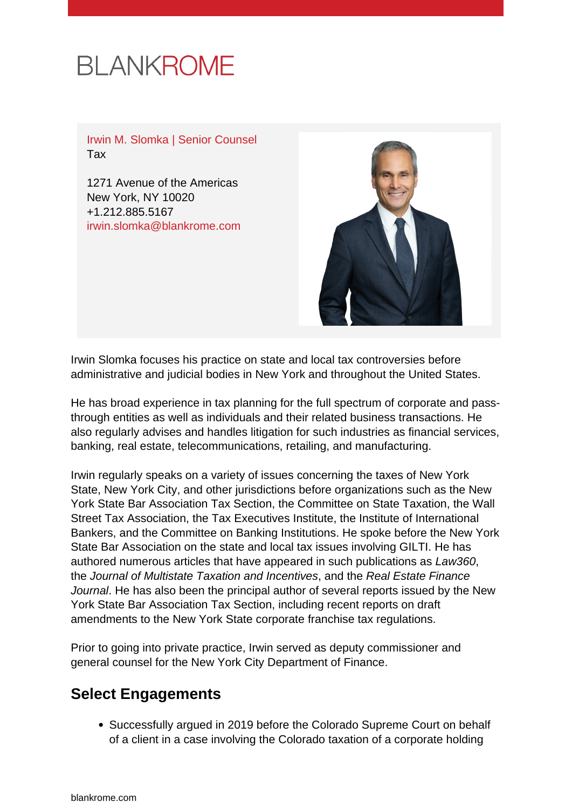# **BLANKROME**

Irwin M. Slomka | Senior Counsel Tax

1271 Avenue of the Americas New York, NY 10020 +1.212.885.5167 [irwin.slomka@blankrome.com](mailto:irwin.slomka@blankrome.com)



Irwin Slomka focuses his practice on state and local tax controversies before administrative and judicial bodies in New York and throughout the United States.

He has broad experience in tax planning for the full spectrum of corporate and passthrough entities as well as individuals and their related business transactions. He also regularly advises and handles litigation for such industries as financial services, banking, real estate, telecommunications, retailing, and manufacturing.

Irwin regularly speaks on a variety of issues concerning the taxes of New York State, New York City, and other jurisdictions before organizations such as the New York State Bar Association Tax Section, the Committee on State Taxation, the Wall Street Tax Association, the Tax Executives Institute, the Institute of International Bankers, and the Committee on Banking Institutions. He spoke before the New York State Bar Association on the state and local tax issues involving GILTI. He has authored numerous articles that have appeared in such publications as Law360, the Journal of Multistate Taxation and Incentives, and the Real Estate Finance Journal. He has also been the principal author of several reports issued by the New York State Bar Association Tax Section, including recent reports on draft amendments to the New York State corporate franchise tax regulations.

Prior to going into private practice, Irwin served as deputy commissioner and general counsel for the New York City Department of Finance.

# **Select Engagements**

• Successfully argued in 2019 before the Colorado Supreme Court on behalf of a client in a case involving the Colorado taxation of a corporate holding